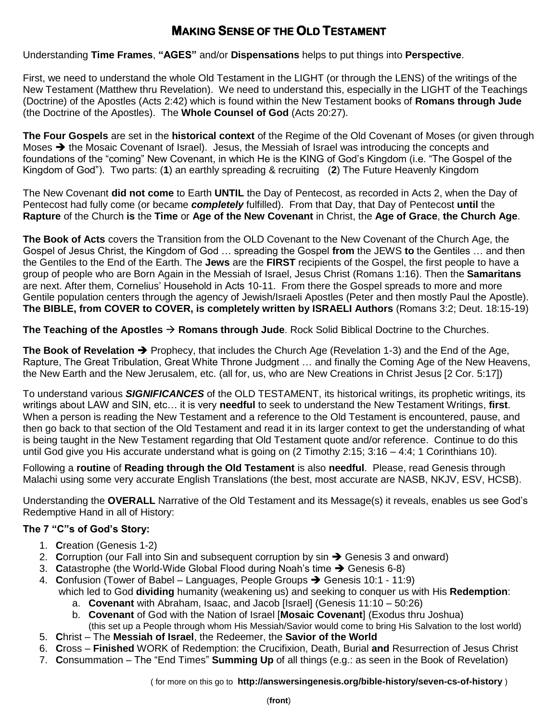## **MAKING SENSE OF THE OLD TESTAMENT**

Understanding **Time Frames**, **"AGES"** and/or **Dispensations** helps to put things into **Perspective**.

First, we need to understand the whole Old Testament in the LIGHT (or through the LENS) of the writings of the New Testament (Matthew thru Revelation). We need to understand this, especially in the LIGHT of the Teachings (Doctrine) of the Apostles (Acts 2:42) which is found within the New Testament books of **Romans through Jude** (the Doctrine of the Apostles). The **Whole Counsel of God** (Acts 20:27).

**The Four Gospels** are set in the **historical context** of the Regime of the Old Covenant of Moses (or given through Moses  $\rightarrow$  the Mosaic Covenant of Israel). Jesus, the Messiah of Israel was introducing the concepts and foundations of the "coming" New Covenant, in which He is the KING of God's Kingdom (i.e. "The Gospel of the Kingdom of God"). Two parts: (**1**) an earthly spreading & recruiting (**2**) The Future Heavenly Kingdom

The New Covenant **did not come** to Earth **UNTIL** the Day of Pentecost, as recorded in Acts 2, when the Day of Pentecost had fully come (or became *completely* fulfilled). From that Day, that Day of Pentecost **until** the **Rapture** of the Church **is** the **Time** or **Age of the New Covenant** in Christ, the **Age of Grace**, **the Church Age**.

**The Book of Acts** covers the Transition from the OLD Covenant to the New Covenant of the Church Age, the Gospel of Jesus Christ, the Kingdom of God … spreading the Gospel **from** the JEWS **to** the Gentiles … and then the Gentiles to the End of the Earth. The **Jews** are the **FIRST** recipients of the Gospel, the first people to have a group of people who are Born Again in the Messiah of Israel, Jesus Christ (Romans 1:16). Then the **Samaritans** are next. After them, Cornelius' Household in Acts 10-11. From there the Gospel spreads to more and more Gentile population centers through the agency of Jewish/Israeli Apostles (Peter and then mostly Paul the Apostle). **The BIBLE, from COVER to COVER, is completely written by ISRAELI Authors** (Romans 3:2; Deut. 18:15-19)

**The Teaching of the Apostles Romans through Jude**. Rock Solid Biblical Doctrine to the Churches.

**The Book of Revelation →** Prophecy, that includes the Church Age (Revelation 1-3) and the End of the Age, Rapture, The Great Tribulation, Great White Throne Judgment … and finally the Coming Age of the New Heavens, the New Earth and the New Jerusalem, etc. (all for, us, who are New Creations in Christ Jesus [2 Cor. 5:17])

To understand various *SIGNIFICANCES* of the OLD TESTAMENT, its historical writings, its prophetic writings, its writings about LAW and SIN, etc… it is very **needful** to seek to understand the New Testament Writings, **first**. When a person is reading the New Testament and a reference to the Old Testament is encountered, pause, and then go back to that section of the Old Testament and read it in its larger context to get the understanding of what is being taught in the New Testament regarding that Old Testament quote and/or reference. Continue to do this until God give you His accurate understand what is going on (2 Timothy 2:15; 3:16 – 4:4; 1 Corinthians 10).

Following a **routine** of **Reading through the Old Testament** is also **needful**. Please, read Genesis through Malachi using some very accurate English Translations (the best, most accurate are NASB, NKJV, ESV, HCSB).

Understanding the **OVERALL** Narrative of the Old Testament and its Message(s) it reveals, enables us see God's Redemptive Hand in all of History:

## **The 7 "C"s of God's Story:**

- 1. **C**reation (Genesis 1-2)
- 2. Corruption (our Fall into Sin and subsequent corruption by sin  $\rightarrow$  Genesis 3 and onward)
- 3. **Catastrophe (the World-Wide Global Flood during Noah's time → Genesis 6-8)**
- 4. **Confusion (Tower of Babel Languages, People Groups → Genesis 10:1 11:9)** which led to God **dividing** humanity (weakening us) and seeking to conquer us with His **Redemption**:
	- a. **Covenant** with Abraham, Isaac, and Jacob [Israel] (Genesis 11:10 50:26)
	- b. **Covenant** of God with the Nation of Israel [**Mosaic Covenant**] (Exodus thru Joshua) (this set up a People through whom His Messiah/Savior would come to bring His Salvation to the lost world)
- 5. **C**hrist The **Messiah of Israel**, the Redeemer, the **Savior of the World**
- 6. **C**ross **Finished** WORK of Redemption: the Crucifixion, Death, Burial **and** Resurrection of Jesus Christ
- 7. **C**onsummation The "End Times" **Summing Up** of all things (e.g.: as seen in the Book of Revelation)